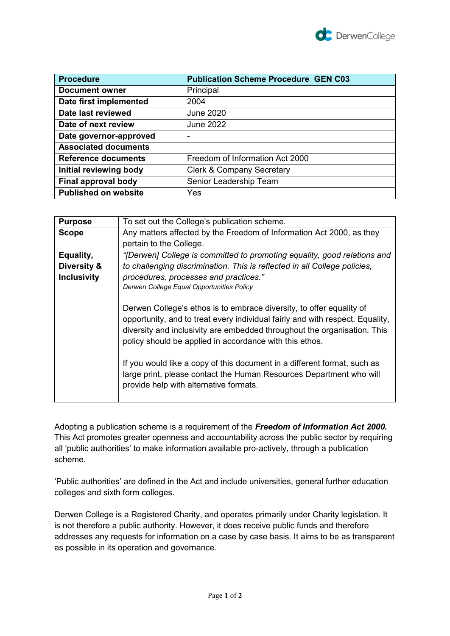

| <b>Procedure</b>            | <b>Publication Scheme Procedure GEN C03</b> |
|-----------------------------|---------------------------------------------|
| <b>Document owner</b>       | Principal                                   |
| Date first implemented      | 2004                                        |
| Date last reviewed          | June 2020                                   |
| Date of next review         | <b>June 2022</b>                            |
| Date governor-approved      |                                             |
| <b>Associated documents</b> |                                             |
| <b>Reference documents</b>  | Freedom of Information Act 2000             |
| Initial reviewing body      | <b>Clerk &amp; Company Secretary</b>        |
| Final approval body         | Senior Leadership Team                      |
| <b>Published on website</b> | Yes                                         |

| <b>Purpose</b>     | To set out the College's publication scheme.                                                                                                                                                                                                                                                                                                                                                                                                                                              |
|--------------------|-------------------------------------------------------------------------------------------------------------------------------------------------------------------------------------------------------------------------------------------------------------------------------------------------------------------------------------------------------------------------------------------------------------------------------------------------------------------------------------------|
| <b>Scope</b>       | Any matters affected by the Freedom of Information Act 2000, as they                                                                                                                                                                                                                                                                                                                                                                                                                      |
|                    | pertain to the College.                                                                                                                                                                                                                                                                                                                                                                                                                                                                   |
| Equality,          | "[Derwen] College is committed to promoting equality, good relations and                                                                                                                                                                                                                                                                                                                                                                                                                  |
| Diversity &        | to challenging discrimination. This is reflected in all College policies,                                                                                                                                                                                                                                                                                                                                                                                                                 |
| <b>Inclusivity</b> | procedures, processes and practices."                                                                                                                                                                                                                                                                                                                                                                                                                                                     |
|                    | Derwen College Equal Opportunities Policy                                                                                                                                                                                                                                                                                                                                                                                                                                                 |
|                    | Derwen College's ethos is to embrace diversity, to offer equality of<br>opportunity, and to treat every individual fairly and with respect. Equality,<br>diversity and inclusivity are embedded throughout the organisation. This<br>policy should be applied in accordance with this ethos.<br>If you would like a copy of this document in a different format, such as<br>large print, please contact the Human Resources Department who will<br>provide help with alternative formats. |

Adopting a publication scheme is a requirement of the *Freedom of Information Act 2000.*  This Act promotes greater openness and accountability across the public sector by requiring all 'public authorities' to make information available pro-actively, through a publication scheme.

'Public authorities' are defined in the Act and include universities, general further education colleges and sixth form colleges.

Derwen College is a Registered Charity, and operates primarily under Charity legislation. It is not therefore a public authority. However, it does receive public funds and therefore addresses any requests for information on a case by case basis. It aims to be as transparent as possible in its operation and governance.